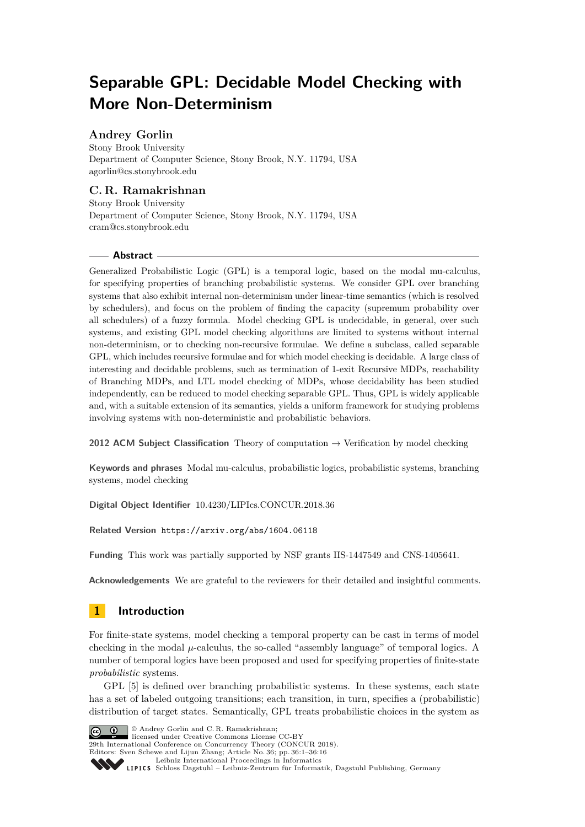# **Separable GPL: Decidable Model Checking with More Non-Determinism**

# **Andrey Gorlin**

Stony Brook University Department of Computer Science, Stony Brook, N.Y. 11794, USA [agorlin@cs.stonybrook.edu](mailto:agorlin@cs.stonybrook.edu)

# **C. R. Ramakrishnan**

Stony Brook University Department of Computer Science, Stony Brook, N.Y. 11794, USA [cram@cs.stonybrook.edu](mailto:cram@cs.stonybrook.edu)

## **Abstract**

Generalized Probabilistic Logic (GPL) is a temporal logic, based on the modal mu-calculus, for specifying properties of branching probabilistic systems. We consider GPL over branching systems that also exhibit internal non-determinism under linear-time semantics (which is resolved by schedulers), and focus on the problem of finding the capacity (supremum probability over all schedulers) of a fuzzy formula. Model checking GPL is undecidable, in general, over such systems, and existing GPL model checking algorithms are limited to systems without internal non-determinism, or to checking non-recursive formulae. We define a subclass, called separable GPL, which includes recursive formulae and for which model checking is decidable. A large class of interesting and decidable problems, such as termination of 1-exit Recursive MDPs, reachability of Branching MDPs, and LTL model checking of MDPs, whose decidability has been studied independently, can be reduced to model checking separable GPL. Thus, GPL is widely applicable and, with a suitable extension of its semantics, yields a uniform framework for studying problems involving systems with non-deterministic and probabilistic behaviors.

**2012 ACM Subject Classification** Theory of computation → Verification by model checking

**Keywords and phrases** Modal mu-calculus, probabilistic logics, probabilistic systems, branching systems, model checking

**Digital Object Identifier** [10.4230/LIPIcs.CONCUR.2018.36](http://dx.doi.org/10.4230/LIPIcs.CONCUR.2018.36)

**Related Version** <https://arxiv.org/abs/1604.06118>

**Funding** This work was partially supported by NSF grants IIS-1447549 and CNS-1405641.

**Acknowledgements** We are grateful to the reviewers for their detailed and insightful comments.

# **1 Introduction**

For finite-state systems, model checking a temporal property can be cast in terms of model checking in the modal  $\mu$ -calculus, the so-called "assembly language" of temporal logics. A number of temporal logics have been proposed and used for specifying properties of finite-state *probabilistic* systems.

GPL [\[5\]](#page-14-0) is defined over branching probabilistic systems. In these systems, each state has a set of labeled outgoing transitions; each transition, in turn, specifies a (probabilistic) distribution of target states. Semantically, GPL treats probabilistic choices in the system as



Cc  $\boxed{C}$   $\boxed{D}$   $\Box$  Andrey Gorlin and C.R. Ramakrishnan:

**29th International Conference on Concurrency Theory (CONCUR 2018).** 

Editors: Sven Schewe and Lijun Zhang; Article No. 36; pp. 36:1–36[:16](#page-15-0)

[Schloss Dagstuhl – Leibniz-Zentrum für Informatik, Dagstuhl Publishing, Germany](http://www.dagstuhl.de)

[Leibniz International Proceedings in Informatics](http://www.dagstuhl.de/lipics/)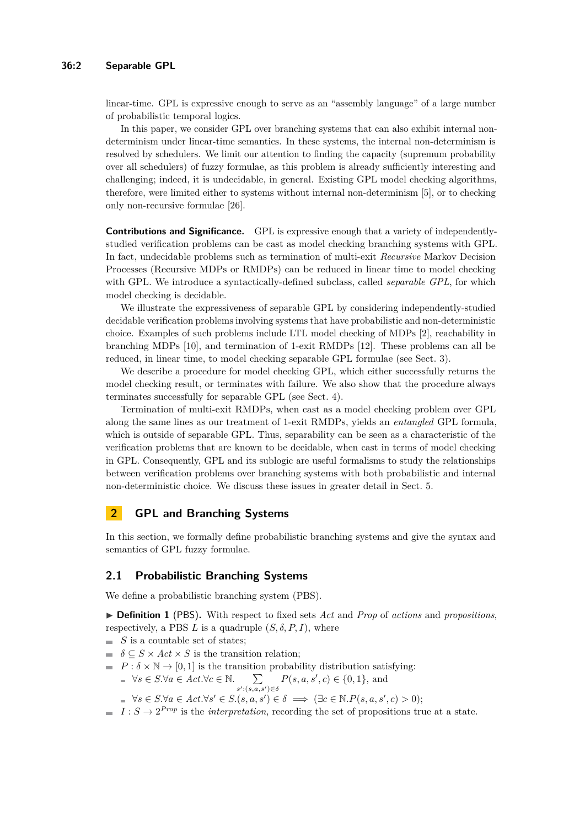linear-time. GPL is expressive enough to serve as an "assembly language" of a large number of probabilistic temporal logics.

In this paper, we consider GPL over branching systems that can also exhibit internal nondeterminism under linear-time semantics. In these systems, the internal non-determinism is resolved by schedulers. We limit our attention to finding the capacity (supremum probability over all schedulers) of fuzzy formulae, as this problem is already sufficiently interesting and challenging; indeed, it is undecidable, in general. Existing GPL model checking algorithms, therefore, were limited either to systems without internal non-determinism [\[5\]](#page-14-0), or to checking only non-recursive formulae [\[26\]](#page-15-1).

**Contributions and Significance.** GPL is expressive enough that a variety of independentlystudied verification problems can be cast as model checking branching systems with GPL. In fact, undecidable problems such as termination of multi-exit *Recursive* Markov Decision Processes (Recursive MDPs or RMDPs) can be reduced in linear time to model checking with GPL. We introduce a syntactically-defined subclass, called *separable GPL*, for which model checking is decidable.

We illustrate the expressiveness of separable GPL by considering independently-studied decidable verification problems involving systems that have probabilistic and non-deterministic choice. Examples of such problems include LTL model checking of MDPs [\[2\]](#page-14-1), reachability in branching MDPs [\[10\]](#page-14-2), and termination of 1-exit RMDPs [\[12\]](#page-15-2). These problems can all be reduced, in linear time, to model checking separable GPL formulae (see Sect. [3\)](#page-5-0).

We describe a procedure for model checking GPL, which either successfully returns the model checking result, or terminates with failure. We also show that the procedure always terminates successfully for separable GPL (see Sect. [4\)](#page-8-0).

Termination of multi-exit RMDPs, when cast as a model checking problem over GPL along the same lines as our treatment of 1-exit RMDPs, yields an *entangled* GPL formula, which is outside of separable GPL. Thus, separability can be seen as a characteristic of the verification problems that are known to be decidable, when cast in terms of model checking in GPL. Consequently, GPL and its sublogic are useful formalisms to study the relationships between verification problems over branching systems with both probabilistic and internal non-deterministic choice. We discuss these issues in greater detail in Sect. [5.](#page-13-0)

# **2 GPL and Branching Systems**

In this section, we formally define probabilistic branching systems and give the syntax and semantics of GPL fuzzy formulae.

### **2.1 Probabilistic Branching Systems**

We define a probabilistic branching system (PBS).

I **Definition 1** (PBS)**.** With respect to fixed sets *Act* and *Prop* of *actions* and *propositions*, respectively, a PBS  $L$  is a quadruple  $(S, \delta, P, I)$ , where

- $S$  is a countable set of states;
- $\delta \subseteq S \times Act \times S$  is the transition relation;
- $P : \delta \times \mathbb{N} \to [0, 1]$  is the transition probability distribution satisfying:

$$
\forall s \in S. \forall a \in Act. \forall c \in \mathbb{N}. \sum_{s': (s,a,s') \in \delta} P(s,a,s',c) \in \{0,1\}, \text{ and}
$$

 $\forall s \in S. \forall a \in Act. \forall s' \in S.(s, a, s') \in \delta \implies (\exists c \in \mathbb{N}. P(s, a, s', c) > 0);$ 

 $I: S \to 2^{Prop}$  is the *interpretation*, recording the set of propositions true at a state.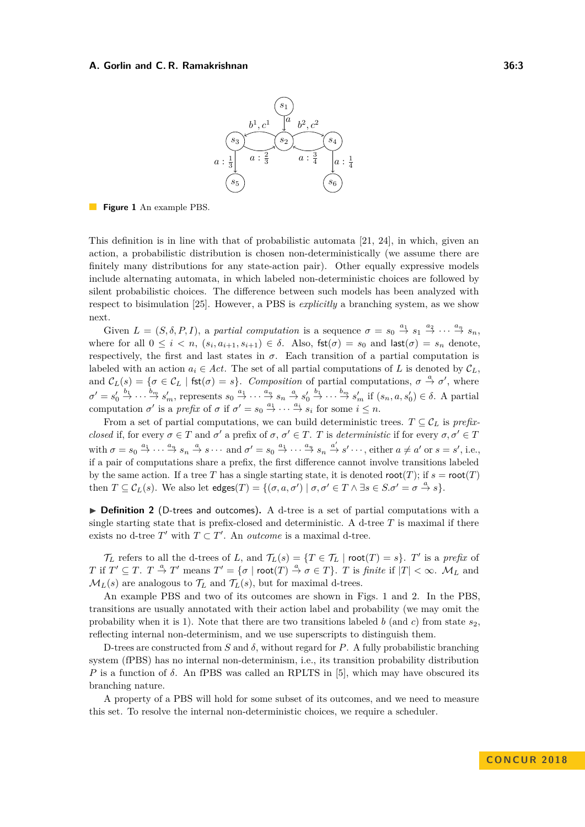

<span id="page-2-0"></span>**Figure 1** An example PBS.

This definition is in line with that of probabilistic automata [\[21,](#page-15-3) [24\]](#page-15-4), in which, given an action, a probabilistic distribution is chosen non-deterministically (we assume there are finitely many distributions for any state-action pair). Other equally expressive models include alternating automata, in which labeled non-deterministic choices are followed by silent probabilistic choices. The difference between such models has been analyzed with respect to bisimulation [\[25\]](#page-15-5). However, a PBS is *explicitly* a branching system, as we show next.

Given  $L = (S, \delta, P, I)$ , a *partial computation* is a sequence  $\sigma = s_0 \stackrel{a_1}{\rightarrow} s_1 \stackrel{a_2}{\rightarrow} \cdots \stackrel{a_n}{\rightarrow} s_n$ , where for all  $0 \leq i \leq n$ ,  $(s_i, a_{i+1}, s_{i+1}) \in \delta$ . Also,  $\text{fst}(\sigma) = s_0$  and  $\text{last}(\sigma) = s_n$  denote, respectively, the first and last states in  $\sigma$ . Each transition of a partial computation is labeled with an action  $a_i \in Act$ . The set of all partial computations of L is denoted by  $\mathcal{C}_L$ . and  $C_L(s) = \{\sigma \in C_L \mid \text{fst}(\sigma) = s\}.$  *Composition* of partial computations,  $\sigma \stackrel{a}{\to} \sigma'$ , where  $\sigma' = s'_0 \stackrel{b_1}{\rightarrow} \cdots \stackrel{b_m}{\rightarrow} s'_m$ , represents  $s_0 \stackrel{a_1}{\rightarrow} \cdots \stackrel{a_n}{\rightarrow} s_n \stackrel{a}{\rightarrow} s'_0 \stackrel{b_1}{\rightarrow} \cdots \stackrel{b_m}{\rightarrow} s'_m$  if  $(s_n, a, s'_0) \in \delta$ . A partial computation  $\sigma'$  is a *prefix* of  $\sigma$  if  $\sigma' = s_0 \stackrel{a_1}{\rightarrow} \cdots \stackrel{a_i}{\rightarrow} s_i$  for some  $i \leq n$ .

From a set of partial computations, we can build deterministic trees.  $T \subseteq C_L$  is *prefixclosed* if, for every  $\sigma \in T$  and  $\sigma'$  a prefix of  $\sigma$ ,  $\sigma' \in T$ . *T* is *deterministic* if for every  $\sigma$ ,  $\sigma' \in T$ with  $\sigma = s_0 \stackrel{a_1}{\rightarrow} \cdots \stackrel{a_n}{\rightarrow} s_n \stackrel{a}{\rightarrow} s \cdots$  and  $\sigma' = s_0 \stackrel{a_1}{\rightarrow} \cdots \stackrel{a_n}{\rightarrow} s_n \stackrel{a'}{\rightarrow} s' \cdots$ , either  $a \neq a'$  or  $s = s'$ , i.e., if a pair of computations share a prefix, the first difference cannot involve transitions labeled by the same action. If a tree *T* has a single starting state, it is denoted root(*T*); if  $s = \text{root}(T)$ then  $T \subseteq \mathcal{C}_L(s)$ . We also let  $\text{edges}(T) = \{(\sigma, a, \sigma') \mid \sigma, \sigma' \in T \land \exists s \in S, \sigma' = \sigma \stackrel{a}{\to} s\}.$ 

▶ **Definition 2** (D-trees and outcomes). A d-tree is a set of partial computations with a single starting state that is prefix-closed and deterministic. A d-tree *T* is maximal if there exists no d-tree  $T'$  with  $T \subset T'$ . An *outcome* is a maximal d-tree.

 $\mathcal{T}_L$  refers to all the d-trees of *L*, and  $\mathcal{T}_L(s) = \{T \in \mathcal{T}_L \mid \text{root}(T) = s\}$ . *T*' is a *prefix* of *T* if  $T' \subseteq T$ .  $T \stackrel{a}{\rightarrow} T'$  means  $T' = \{ \sigma \mid \text{root}(T) \stackrel{a}{\rightarrow} \sigma \in T \}$ . *T* is *finite* if  $|T| < \infty$ . *M<sub>L</sub>* and  $M_L(s)$  are analogous to  $\mathcal{T}_L$  and  $\mathcal{T}_L(s)$ , but for maximal d-trees.

An example PBS and two of its outcomes are shown in Figs. [1](#page-2-0) and [2.](#page-3-0) In the PBS, transitions are usually annotated with their action label and probability (we may omit the probability when it is 1). Note that there are two transitions labeled  $b$  (and  $c$ ) from state  $s_2$ , reflecting internal non-determinism, and we use superscripts to distinguish them.

D-trees are constructed from *S* and  $\delta$ , without regard for *P*. A fully probabilistic branching system (fPBS) has no internal non-determinism, i.e., its transition probability distribution *P* is a function of  $\delta$ . An fPBS was called an RPLTS in [\[5\]](#page-14-0), which may have obscured its branching nature.

A property of a PBS will hold for some subset of its outcomes, and we need to measure this set. To resolve the internal non-deterministic choices, we require a scheduler.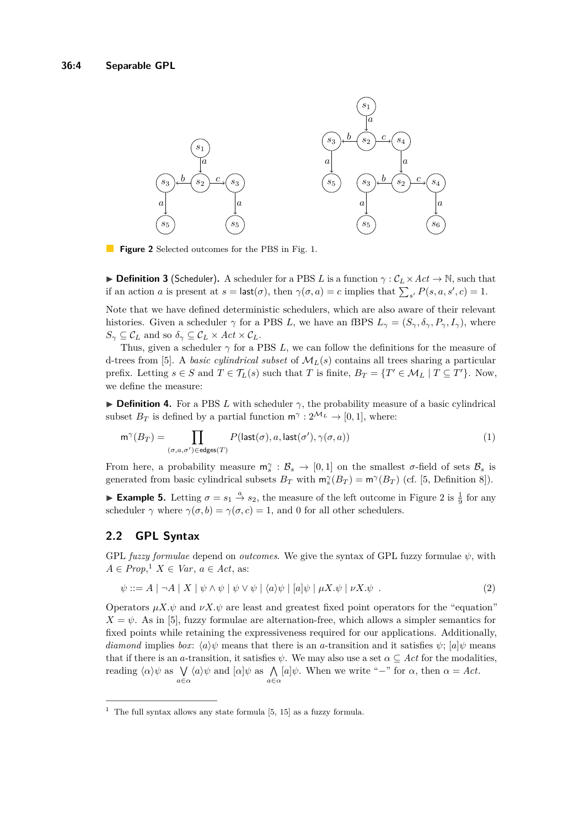<span id="page-3-0"></span>

 $\mathcal{L}^{\text{max}}$ **Figure 2** Selected outcomes for the PBS in Fig. [1.](#page-2-0)

**Definition 3** (Scheduler). A scheduler for a PBS *L* is a function  $\gamma : C_L \times Act \to \mathbb{N}$ , such that if an action *a* is present at  $s = \textsf{last}(\sigma)$ , then  $\gamma(\sigma, a) = c$  implies that  $\sum_{s'} P(s, a, s', c) = 1$ .

Note that we have defined deterministic schedulers, which are also aware of their relevant histories. Given a scheduler  $\gamma$  for a PBS *L*, we have an fBPS  $L_{\gamma} = (S_{\gamma}, \delta_{\gamma}, P_{\gamma}, I_{\gamma})$ , where  $S_{\gamma} \subseteq \mathcal{C}_L$  and so  $\delta_{\gamma} \subseteq \mathcal{C}_L \times Act \times \mathcal{C}_L$ .

Thus, given a scheduler  $\gamma$  for a PBS *L*, we can follow the definitions for the measure of d-trees from [\[5\]](#page-14-0). A *basic cylindrical subset* of  $\mathcal{M}_L(s)$  contains all trees sharing a particular prefix. Letting  $s \in S$  and  $T \in \mathcal{T}_L(s)$  such that *T* is finite,  $B_T = \{T' \in \mathcal{M}_L \mid T \subseteq T'\}$ . Now, we define the measure:

**Definition 4.** For a PBS *L* with scheduler  $\gamma$ , the probability measure of a basic cylindrical subset  $B_T$  is defined by a partial function  $\mathsf{m}^\gamma : 2^{\mathcal{M}_L} \to [0,1]$ , where:

$$
\mathsf{m}^{\gamma}(B_T) = \prod_{(\sigma,a,\sigma') \in \mathsf{edges}(T)} P(\mathsf{last}(\sigma), a, \mathsf{last}(\sigma'), \gamma(\sigma, a))
$$
(1)

From here, a probability measure  $m_s^{\gamma}$  :  $B_s \to [0,1]$  on the smallest *σ*-field of sets  $B_s$  is generated from basic cylindrical subsets  $B_T$  with  $\mathsf{m}_s^\gamma(B_T) = \mathsf{m}^\gamma(B_T)$  (cf. [\[5,](#page-14-0) Definition 8]).

**Example 5.** Letting  $\sigma = s_1 \stackrel{a}{\to} s_2$ , the measure of the left outcome in Figure [2](#page-3-0) is  $\frac{1}{9}$  for any scheduler  $\gamma$  where  $\gamma(\sigma, b) = \gamma(\sigma, c) = 1$ , and 0 for all other schedulers.

## **2.2 GPL Syntax**

GPL *fuzzy formulae* depend on *outcomes*. We give the syntax of GPL fuzzy formulae *ψ*, with  $A \in Prop, \{1, X \in Var, a \in Act, as: \}$  $A \in Prop, \{1, X \in Var, a \in Act, as: \}$  $A \in Prop, \{1, X \in Var, a \in Act, as: \}$ 

$$
\psi ::= A \mid \neg A \mid X \mid \psi \land \psi \mid \psi \lor \psi \mid \langle a \rangle \psi \mid [a] \psi \mid \mu X. \psi \mid \nu X. \psi \tag{2}
$$

Operators  $\mu X.\psi$  and  $\nu X.\psi$  are least and greatest fixed point operators for the "equation"  $X = \psi$ . As in [\[5\]](#page-14-0), fuzzy formulae are alternation-free, which allows a simpler semantics for fixed points while retaining the expressiveness required for our applications. Additionally, *diamond* implies *box*:  $\langle a \rangle \psi$  means that there is an *a*-transition and it satisfies  $\psi$ ;  $[a] \psi$  means that if there is an *a*-transition, it satisfies  $\psi$ . We may also use a set  $\alpha \subseteq Act$  for the modalities, reading  $\langle \alpha \rangle \psi$  as  $\bigvee_{a \in \alpha} \langle a \rangle \psi$  and  $[\alpha] \psi$  as  $\bigwedge_{a \in \alpha} [a] \psi$ . When we write "-" for  $\alpha$ , then  $\alpha = Act$ .

<span id="page-3-1"></span><sup>&</sup>lt;sup>1</sup> The full syntax allows any state formula  $[5, 15]$  $[5, 15]$  as a fuzzy formula.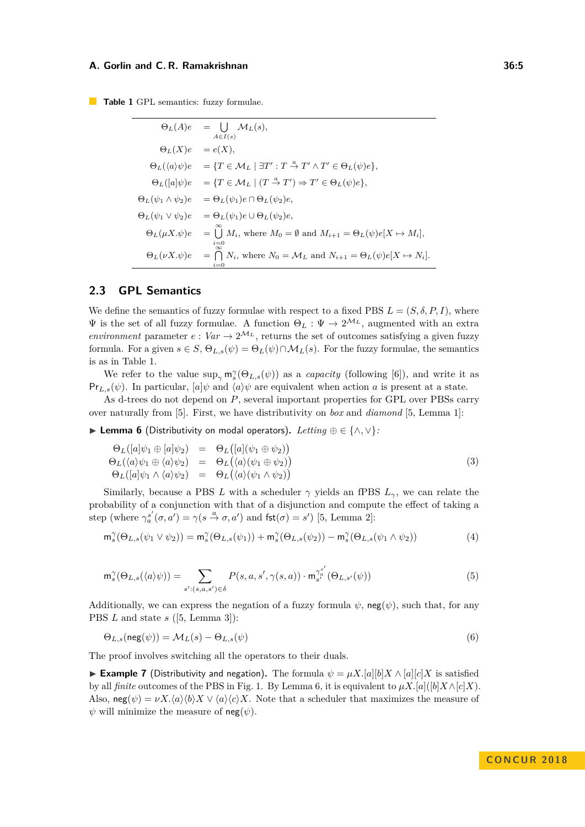<span id="page-4-0"></span>**Table 1** GPL semantics: fuzzy formulae.

$$
\Theta_L(A)e = \bigcup_{A \in I(s)} \mathcal{M}_L(s),
$$
  
\n
$$
\Theta_L(X)e = e(X),
$$
  
\n
$$
\Theta_L(\langle a \rangle \psi)e = \{T \in \mathcal{M}_L \mid \exists T' : T \stackrel{a}{\to} T' \land T' \in \Theta_L(\psi)e\},
$$
  
\n
$$
\Theta_L([a]\psi)e = \{T \in \mathcal{M}_L \mid (T \stackrel{a}{\to} T') \Rightarrow T' \in \Theta_L(\psi)e\},
$$
  
\n
$$
\Theta_L(\psi_1 \land \psi_2)e = \Theta_L(\psi_1)e \cap \Theta_L(\psi_2)e,
$$
  
\n
$$
\Theta_L(\psi_1 \lor \psi_2)e = \Theta_L(\psi_1)e \cup \Theta_L(\psi_2)e,
$$
  
\n
$$
\Theta_L(\mu X.\psi)e = \bigcup_{i=0}^{\infty} M_i, \text{ where } M_0 = \emptyset \text{ and } M_{i+1} = \Theta_L(\psi)e[X \mapsto M_i],
$$
  
\n
$$
\Theta_L(\nu X.\psi)e = \bigcap_{i=0}^{\infty} N_i, \text{ where } N_0 = \mathcal{M}_L \text{ and } N_{i+1} = \Theta_L(\psi)e[X \mapsto N_i].
$$

## **2.3 GPL Semantics**

We define the semantics of fuzzy formulae with respect to a fixed PBS  $L = (S, \delta, P, I)$ , where  $\Psi$  is the set of all fuzzy formulae. A function  $\Theta_L : \Psi \to 2^{\mathcal{M}_L}$ , augmented with an extra *environment* parameter  $e: Var \to 2^{\mathcal{M}_L}$ , returns the set of outcomes satisfying a given fuzzy formula. For a given  $s \in S$ ,  $\Theta_{L,s}(\psi) = \Theta_L(\psi) \cap \mathcal{M}_L(s)$ . For the fuzzy formulae, the semantics is as in Table [1.](#page-4-0)

We refer to the value  $\sup_{\gamma} \mathsf{m}_s^{\gamma}(\Theta_{L,s}(\psi))$  as a *capacity* (following [\[6\]](#page-14-3)), and write it as  $Pr_{L,s}(\psi)$ . In particular,  $[a]\psi$  and  $\langle a \rangle \psi$  are equivalent when action *a* is present at a state.

As d-trees do not depend on *P*, several important properties for GPL over PBSs carry over naturally from [\[5\]](#page-14-0). First, we have distributivity on *box* and *diamond* [\[5,](#page-14-0) Lemma 1]:

<span id="page-4-1"></span>I **Lemma 6** (Distributivity on modal operators)**.** *Letting* ⊕ ∈ {∧*,* ∨}*:*

$$
\begin{array}{rcl}\n\Theta_L([a]\psi_1 \oplus [a]\psi_2) & = & \Theta_L([a](\psi_1 \oplus \psi_2)) \\
\Theta_L(\langle a \rangle \psi_1 \oplus \langle a \rangle \psi_2) & = & \Theta_L(\langle a \rangle (\psi_1 \oplus \psi_2)) \\
\Theta_L([a]\psi_1 \wedge \langle a \rangle \psi_2) & = & \Theta_L(\langle a \rangle (\psi_1 \wedge \psi_2))\n\end{array} \tag{3}
$$

Similarly, because a PBS *L* with a scheduler  $\gamma$  yields an fPBS  $L_{\gamma}$ , we can relate the probability of a conjunction with that of a disjunction and compute the effect of taking a step (where  $\gamma_a^{s'}(\sigma, a') = \gamma(s \stackrel{a}{\to} \sigma, a')$  and  $\textsf{fst}(\sigma) = s'$ ) [\[5,](#page-14-0) Lemma 2]:

<span id="page-4-3"></span><span id="page-4-2"></span>
$$
\mathsf{m}_{s}^{\gamma}(\Theta_{L,s}(\psi_{1}\vee\psi_{2}))=\mathsf{m}_{s}^{\gamma}(\Theta_{L,s}(\psi_{1}))+\mathsf{m}_{s}^{\gamma}(\Theta_{L,s}(\psi_{2}))-\mathsf{m}_{s}^{\gamma}(\Theta_{L,s}(\psi_{1}\wedge\psi_{2}))
$$
(4)

$$
\mathsf{m}_{s}^{\gamma}(\Theta_{L,s}(\langle a\rangle\psi)) = \sum_{s':(s,a,s')\in\delta} P(s,a,s',\gamma(s,a)) \cdot \mathsf{m}_{s'}^{\gamma_{a}^{s'}}(\Theta_{L,s'}(\psi))
$$
(5)

Additionally, we can express the negation of a fuzzy formula  $\psi$ , neg( $\psi$ ), such that, for any PBS *L* and state *s* ([\[5,](#page-14-0) Lemma 3]):

$$
\Theta_{L,s}(\text{neg}(\psi)) = \mathcal{M}_L(s) - \Theta_{L,s}(\psi)
$$
\n(6)

The proof involves switching all the operators to their duals.

**► Example 7** (Distributivity and negation). The formula  $\psi = \mu X. [a][b]X \wedge [a][c]X$  is satisfied by all *finite* outcomes of the PBS in Fig. [1.](#page-2-0) By Lemma [6,](#page-4-1) it is equivalent to  $\mu X. [a]([b]X \wedge [c]X)$ . Also,  $\text{neg}(\psi) = \nu X \cdot \langle a \rangle \langle b \rangle X \vee \langle a \rangle \langle c \rangle X$ . Note that a scheduler that maximizes the measure of  $\psi$  will minimize the measure of  $neg(\psi)$ .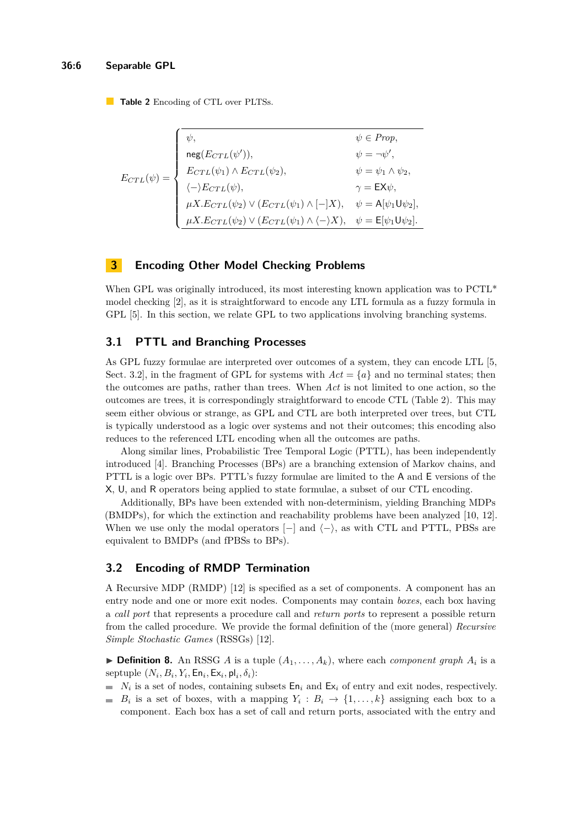<span id="page-5-1"></span>**Table 2** Encoding of CTL over PLTSs.

| $\label{eq:1} \begin{aligned} \mathcal{L}(\psi)=&\left\{ \begin{array}{ll} &\text{neg}(E_{CTL}(\psi')),\\ &E_{CTL}(\psi_1)\wedge E_{CTL}(\psi_2),\\ &\langle-\rangle E_{CTL}(\psi),\quad &\gamma=-\\ &\mu X.E_{CTL}(\psi_2)\vee(E_{CTL}(\psi_1)\wedge[-]X),\quad &\psi=\mathsf{A}[\psi_1\mathsf{U}\psi_2],\\ &\hspace{3.5cm}\forall\ \ell\, E_{CTL}(\psi_1)\wedge\langle-\rangle X). \end{array} \right. \end{aligned}$ | $\psi \in Prop.$ |
|-------------------------------------------------------------------------------------------------------------------------------------------------------------------------------------------------------------------------------------------------------------------------------------------------------------------------------------------------------------------------------------------------------------------------|------------------|
|                                                                                                                                                                                                                                                                                                                                                                                                                         |                  |
|                                                                                                                                                                                                                                                                                                                                                                                                                         |                  |
|                                                                                                                                                                                                                                                                                                                                                                                                                         |                  |
|                                                                                                                                                                                                                                                                                                                                                                                                                         |                  |
|                                                                                                                                                                                                                                                                                                                                                                                                                         |                  |

# <span id="page-5-0"></span>**3 Encoding Other Model Checking Problems**

When GPL was originally introduced, its most interesting known application was to  $PCTL^*$ model checking [\[2\]](#page-14-1), as it is straightforward to encode any LTL formula as a fuzzy formula in GPL [\[5\]](#page-14-0). In this section, we relate GPL to two applications involving branching systems.

# **3.1 PTTL and Branching Processes**

As GPL fuzzy formulae are interpreted over outcomes of a system, they can encode LTL [\[5,](#page-14-0) Sect. 3.2, in the fragment of GPL for systems with  $Act = \{a\}$  and no terminal states; then the outcomes are paths, rather than trees. When *Act* is not limited to one action, so the outcomes are trees, it is correspondingly straightforward to encode CTL (Table [2\)](#page-5-1). This may seem either obvious or strange, as GPL and CTL are both interpreted over trees, but CTL is typically understood as a logic over systems and not their outcomes; this encoding also reduces to the referenced LTL encoding when all the outcomes are paths.

Along similar lines, Probabilistic Tree Temporal Logic (PTTL), has been independently introduced [\[4\]](#page-14-4). Branching Processes (BPs) are a branching extension of Markov chains, and PTTL is a logic over BPs. PTTL's fuzzy formulae are limited to the A and E versions of the X, U, and R operators being applied to state formulae, a subset of our CTL encoding.

Additionally, BPs have been extended with non-determinism, yielding Branching MDPs (BMDPs), for which the extinction and reachability problems have been analyzed [\[10,](#page-14-2) [12\]](#page-15-2). When we use only the modal operators  $[-]$  and  $\langle - \rangle$ , as with CTL and PTTL, PBSs are equivalent to BMDPs (and fPBSs to BPs).

### **3.2 Encoding of RMDP Termination**

A Recursive MDP (RMDP) [\[12\]](#page-15-2) is specified as a set of components. A component has an entry node and one or more exit nodes. Components may contain *boxes*, each box having a *call port* that represents a procedure call and *return ports* to represent a possible return from the called procedure. We provide the formal definition of the (more general) *Recursive Simple Stochastic Games* (RSSGs) [\[12\]](#page-15-2).

**Definition 8.** An RSSG *A* is a tuple  $(A_1, \ldots, A_k)$ , where each *component graph*  $A_i$  is a  $\text{septuple } (N_i, B_i, Y_i, \textsf{En}_i, \textsf{Ex}_i, \textsf{pl}_i, \delta_i)$ :

- $N_i$  is a set of nodes, containing subsets  $E_n$  and  $E_{\lambda i}$  of entry and exit nodes, respectively.
- $B_i$  is a set of boxes, with a mapping  $Y_i: B_i \to \{1, ..., k\}$  assigning each box to a component. Each box has a set of call and return ports, associated with the entry and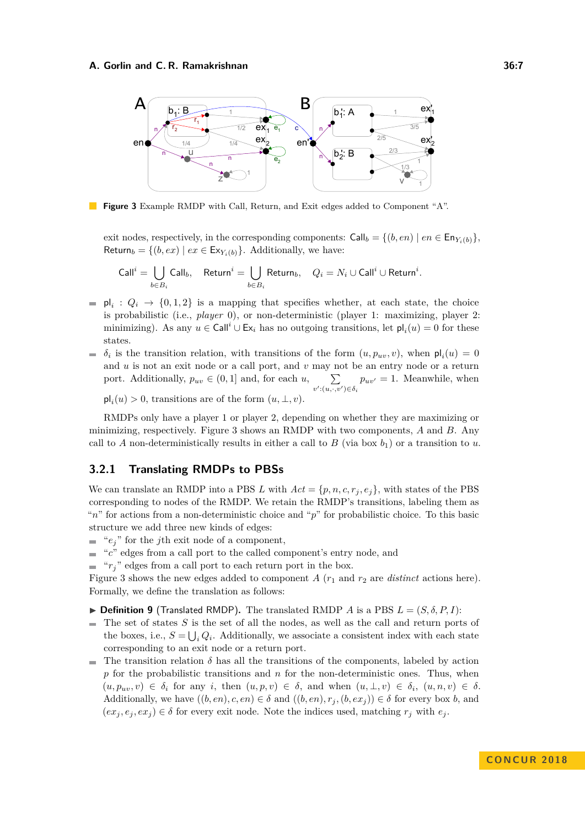<span id="page-6-0"></span>

**Figure 3** Example RMDP with Call, Return, and Exit edges added to Component "A".

exit nodes, respectively, in the corresponding components:  $\text{Call}_b = \{(b, en) \mid en \in \text{En}_{Y_i(b)}\},\$ Return<sub>b</sub> = { $(b, ex) | ex \in Ex_{Y_i(b)}$ }. Additionally, we have:

$$
\mathsf{Call}^{i}=\bigcup_{b\in B_{i}}\mathsf{Call}_{b},\quad \mathsf{Return}^{i}=\bigcup_{b\in B_{i}}\mathsf{Return}_{b},\quad Q_{i}=N_{i}\cup\mathsf{Call}^{i}\cup\mathsf{Return}^{i}.
$$

- $\mathsf{pl}_i$  :  $Q_i \to \{0,1,2\}$  is a mapping that specifies whether, at each state, the choice  $\blacksquare$ is probabilistic (i.e., *player* 0), or non-deterministic (player 1: maximizing, player 2: minimizing). As any  $u \in \text{Call}^i \cup \text{Ex}_i$  has no outgoing transitions, let  $\text{pl}_i(u) = 0$  for these states.
- $\delta_i$  is the transition relation, with transitions of the form  $(u, p_{uv}, v)$ , when  $\mathsf{pl}_i(u) = 0$ ÷. and *u* is not an exit node or a call port, and *v* may not be an entry node or a return port. Additionally,  $p_{uv} \in (0,1]$  and, for each  $u, \sum$  $p_{uv'} = 1$ . Meanwhile, when  $v'$ : $(u, \cdot, v') \in \delta_i$  $\mathsf{pl}_i(u) > 0$ , transitions are of the form  $(u, \perp, v)$ .

RMDPs only have a player 1 or player 2, depending on whether they are maximizing or minimizing, respectively. Figure [3](#page-6-0) shows an RMDP with two components, *A* and *B*. Any call to *A* non-deterministically results in either a call to *B* (via box  $b_1$ ) or a transition to *u*.

# **3.2.1 Translating RMDPs to PBSs**

We can translate an RMDP into a PBS L with  $Act = \{p, n, c, r_i, e_i\}$ , with states of the PBS corresponding to nodes of the RMDP. We retain the RMDP's transitions, labeling them as "*n*" for actions from a non-deterministic choice and "*p*" for probabilistic choice. To this basic structure we add three new kinds of edges:

- $e_i$ <sup>"</sup> for the *j*th exit node of a component,
- "*c*" edges from a call port to the called component's entry node, and  $\blacksquare$
- $r_i$ <sup>"</sup> edges from a call port to each return port in the box.

Figure [3](#page-6-0) shows the new edges added to component *A*  $(r_1$  and  $r_2$  are *distinct* actions here). Formally, we define the translation as follows:

- $\triangleright$  **Definition 9** (Translated RMDP). The translated RMDP *A* is a PBS  $L = (S, \delta, P, I)$ :
- The set of states *S* is the set of all the nodes, as well as the call and return ports of  $\blacksquare$ the boxes, i.e.,  $S = \bigcup_i Q_i$ . Additionally, we associate a consistent index with each state corresponding to an exit node or a return port.
- The transition relation  $\delta$  has all the transitions of the components, labeled by action  $\blacksquare$ *p* for the probabilistic transitions and *n* for the non-deterministic ones. Thus, when  $(u, p_{uv}, v) \in \delta_i$  for any *i*, then  $(u, p, v) \in \delta$ , and when  $(u, \perp, v) \in \delta_i$ ,  $(u, n, v) \in \delta$ . Additionally, we have  $((b, en), c, en) \in \delta$  and  $((b, en), r_j, (b, ex_j)) \in \delta$  for every box *b*, and  $(ex_j, e_j, ex_j) \in \delta$  for every exit node. Note the indices used, matching  $r_j$  with  $e_j$ .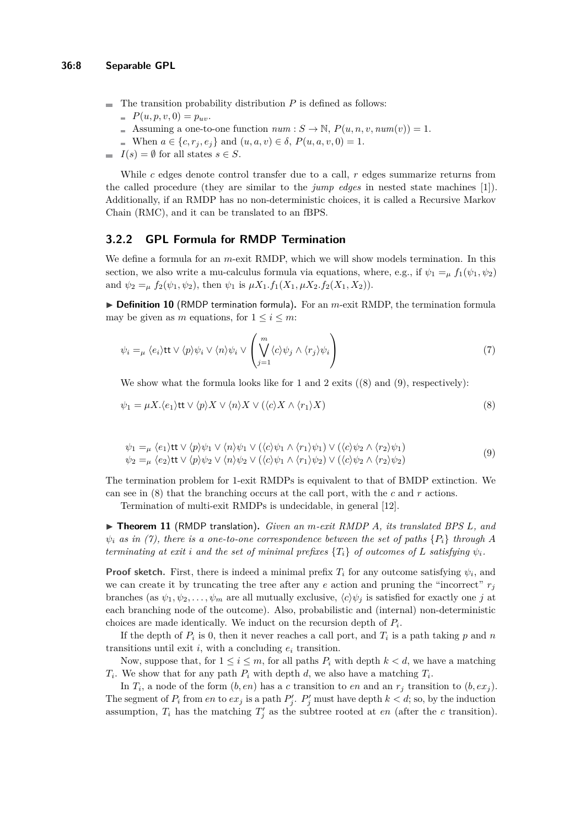- $\blacksquare$  The transition probability distribution *P* is defined as follows:
	- $P(u, p, v, 0) = p_{uv}.$
	- Assuming a one-to-one function  $num : S \to \mathbb{N}, P(u, n, v, num(v)) = 1.$
	- When *a* ∈ {*c*, *r*<sub>*j*</sub>, *e*<sub>*j*</sub>} and (*u*, *a*, *v*) ∈ *δ*, *P*(*u*, *a*, *v*, 0) = 1.
- $I(s) = \emptyset$  for all states  $s \in S$ . m.

While *c* edges denote control transfer due to a call, *r* edges summarize returns from the called procedure (they are similar to the *jump edges* in nested state machines [\[1\]](#page-14-5)). Additionally, if an RMDP has no non-deterministic choices, it is called a Recursive Markov Chain (RMC), and it can be translated to an fBPS.

### **3.2.2 GPL Formula for RMDP Termination**

We define a formula for an *m*-exit RMDP, which we will show models termination. In this section, we also write a mu-calculus formula via equations, where, e.g., if  $\psi_1 =_u f_1(\psi_1, \psi_2)$ and  $\psi_2 = \mu f_2(\psi_1, \psi_2)$ , then  $\psi_1$  is  $\mu X_1.f_1(X_1, \mu X_2.f_2(X_1, X_2))$ .

▶ **Definition 10** (RMDP termination formula). For an *m*-exit RMDP, the termination formula may be given as *m* equations, for  $1 \leq i \leq m$ :

<span id="page-7-2"></span>
$$
\psi_i =_{\mu} \langle e_i \rangle \text{tt} \vee \langle p \rangle \psi_i \vee \langle n \rangle \psi_i \vee \left( \bigvee_{j=1}^m \langle c \rangle \psi_j \wedge \langle r_j \rangle \psi_i \right) \tag{7}
$$

We show what the formula looks like for 1 and 2 exits  $(8)$  and  $(9)$ , respectively):

<span id="page-7-1"></span><span id="page-7-0"></span>
$$
\psi_1 = \mu X . \langle e_1 \rangle \text{tt} \vee \langle p \rangle X \vee \langle n \rangle X \vee (\langle c \rangle X \wedge \langle r_1 \rangle X) \tag{8}
$$

$$
\psi_1 =_\mu \langle e_1 \rangle \text{tt} \vee \langle p \rangle \psi_1 \vee \langle n \rangle \psi_1 \vee (\langle c \rangle \psi_1 \wedge \langle r_1 \rangle \psi_1) \vee (\langle c \rangle \psi_2 \wedge \langle r_2 \rangle \psi_1) \n\psi_2 =_\mu \langle e_2 \rangle \text{tt} \vee \langle p \rangle \psi_2 \vee \langle n \rangle \psi_2 \vee (\langle c \rangle \psi_1 \wedge \langle r_1 \rangle \psi_2) \vee (\langle c \rangle \psi_2 \wedge \langle r_2 \rangle \psi_2)
$$
\n(9)

The termination problem for 1-exit RMDPs is equivalent to that of BMDP extinction. We can see in [\(8\)](#page-7-0) that the branching occurs at the call port, with the *c* and *r* actions.

Termination of multi-exit RMDPs is undecidable, in general [\[12\]](#page-15-2).

I **Theorem 11** (RMDP translation)**.** *Given an m-exit RMDP A, its translated BPS L, and*  $\psi_i$  *as in [\(7\)](#page-7-2), there is a one-to-one correspondence between the set of paths*  $\{P_i\}$  *through A terminating at exit i and the set of minimal prefixes*  $\{T_i\}$  *of outcomes of L satisfying*  $\psi_i$ *.* 

**Proof sketch.** First, there is indeed a minimal prefix  $T_i$  for any outcome satisfying  $\psi_i$ , and we can create it by truncating the tree after any  $e$  action and pruning the "incorrect"  $r_j$ branches (as  $\psi_1, \psi_2, \ldots, \psi_m$  are all mutually exclusive,  $\langle c \rangle \psi_j$  is satisfied for exactly one *j* at each branching node of the outcome). Also, probabilistic and (internal) non-deterministic choices are made identically. We induct on the recursion depth of *P<sup>i</sup>* .

If the depth of  $P_i$  is 0, then it never reaches a call port, and  $T_i$  is a path taking  $p$  and  $n$ transitions until exit  $i$ , with a concluding  $e_i$  transition.

Now, suppose that, for  $1 \leq i \leq m$ , for all paths  $P_i$  with depth  $k < d$ , we have a matching *T*<sub>*i*</sub>. We show that for any path  $P_i$  with depth *d*, we also have a matching  $T_i$ .

In  $T_i$ , a node of the form  $(b, en)$  has a *c* transition to *en* and an  $r_j$  transition to  $(b, ex_j)$ . The segment of  $P_i$  from  $en$  to  $ex_j$  is a path  $P'_j$ .  $P'_j$  must have depth  $k < d$ ; so, by the induction assumption,  $T_i$  has the matching  $T'_j$  as the subtree rooted at *en* (after the *c* transition).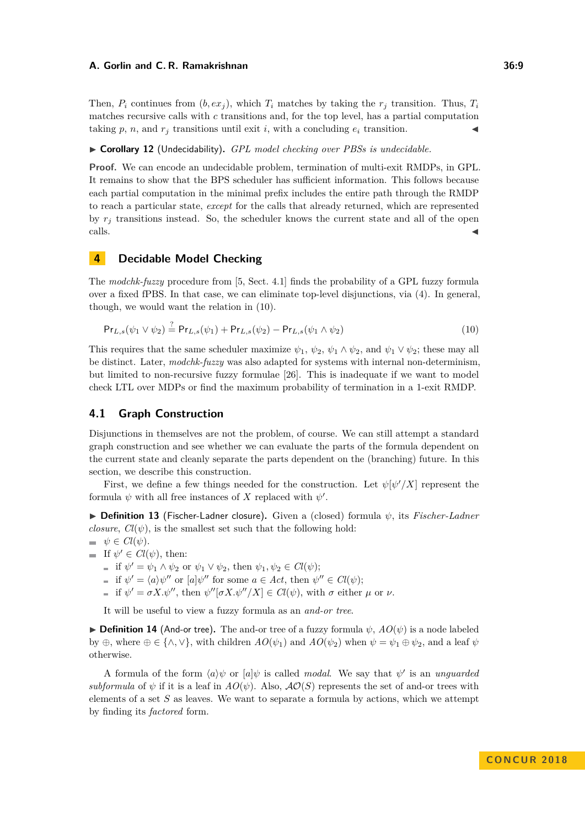Then,  $P_i$  continues from  $(b, ex_i)$ , which  $T_i$  matches by taking the  $r_i$  transition. Thus,  $T_i$ matches recursive calls with *c* transitions and, for the top level, has a partial computation taking  $p$ ,  $n$ , and  $r<sub>j</sub>$  transitions until exit *i*, with a concluding  $e<sub>i</sub>$  transition.

#### I **Corollary 12** (Undecidability)**.** *GPL model checking over PBSs is undecidable.*

**Proof.** We can encode an undecidable problem, termination of multi-exit RMDPs, in GPL. It remains to show that the BPS scheduler has sufficient information. This follows because each partial computation in the minimal prefix includes the entire path through the RMDP to reach a particular state, *except* for the calls that already returned, which are represented by  $r_i$  transitions instead. So, the scheduler knows the current state and all of the open  $\blacksquare$ calls.

# <span id="page-8-0"></span>**4 Decidable Model Checking**

The *modchk-fuzzy* procedure from [\[5,](#page-14-0) Sect. 4.1] finds the probability of a GPL fuzzy formula over a fixed fPBS. In that case, we can eliminate top-level disjunctions, via [\(4\)](#page-4-2). In general, though, we would want the relation in [\(10\)](#page-8-1).

<span id="page-8-1"></span>
$$
Pr_{L,s}(\psi_1 \lor \psi_2) \stackrel{?}{=} Pr_{L,s}(\psi_1) + Pr_{L,s}(\psi_2) - Pr_{L,s}(\psi_1 \land \psi_2)
$$
\n(10)

This requires that the same scheduler maximize  $\psi_1$ ,  $\psi_2$ ,  $\psi_1 \wedge \psi_2$ , and  $\psi_1 \vee \psi_2$ ; these may all be distinct. Later, *modchk-fuzzy* was also adapted for systems with internal non-determinism, but limited to non-recursive fuzzy formulae [\[26\]](#page-15-1). This is inadequate if we want to model check LTL over MDPs or find the maximum probability of termination in a 1-exit RMDP.

### **4.1 Graph Construction**

Disjunctions in themselves are not the problem, of course. We can still attempt a standard graph construction and see whether we can evaluate the parts of the formula dependent on the current state and cleanly separate the parts dependent on the (branching) future. In this section, we describe this construction.

First, we define a few things needed for the construction. Let  $\psi[\psi'/X]$  represent the formula  $\psi$  with all free instances of X replaced with  $\psi'$ .

I **Definition 13** (Fischer-Ladner closure)**.** Given a (closed) formula *ψ*, its *Fischer-Ladner closure*,  $Cl(\psi)$ , is the smallest set such that the following hold:

 $\psi \in Cl(\psi)$ .

- If  $\psi' \in Cl(\psi)$ , then:
	- if  $\psi' = \psi_1 \wedge \psi_2$  or  $\psi_1 \vee \psi_2$ , then  $\psi_1, \psi_2 \in Cl(\psi)$ ;
	- if  $\psi' = \langle a \rangle \psi''$  or  $[a] \psi''$  for some  $a \in Act$ , then  $\psi'' \in Cl(\psi)$ ;
	- if  $\psi' = \sigma X \cdot \psi''$ , then  $\psi''[\sigma X \cdot \psi''/X] \in Cl(\psi)$ , with  $\sigma$  either  $\mu$  or  $\nu$ .

It will be useful to view a fuzzy formula as an *and-or tree*.

**Definition 14** (And-or tree). The and-or tree of a fuzzy formula  $\psi$ ,  $AO(\psi)$  is a node labeled by ⊕, where  $\oplus \in {\wedge, \vee}$ , with children  $AO(\psi_1)$  and  $AO(\psi_2)$  when  $\psi = \psi_1 \oplus \psi_2$ , and a leaf  $\psi$ otherwise.

A formula of the form  $\langle a \rangle \psi$  or  $[a] \psi$  is called *modal*. We say that  $\psi'$  is an *unguarded subformula* of  $\psi$  if it is a leaf in  $AO(\psi)$ . Also,  $AO(S)$  represents the set of and-or trees with elements of a set *S* as leaves. We want to separate a formula by actions, which we attempt by finding its *factored* form.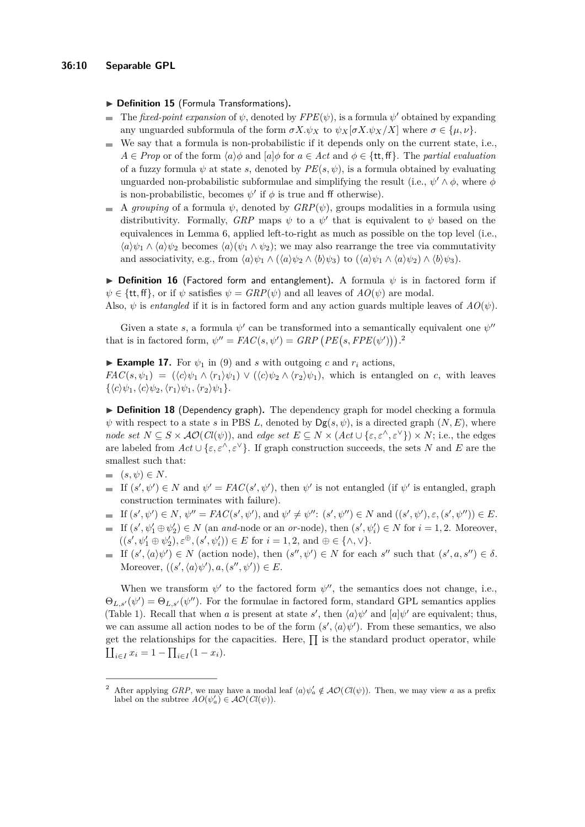▶ Definition 15 (Formula Transformations).

- The *fixed-point expansion* of  $\psi$ , denoted by  $FPE(\psi)$ , is a formula  $\psi'$  obtained by expanding any unguarded subformula of the form  $\sigma X.\psi_X$  to  $\psi_X[\sigma X.\psi_X/X]$  where  $\sigma \in {\{\mu,\nu\}}$ .
- We say that a formula is non-probabilistic if it depends only on the current state, i.e.,  $\sim$  $A \in Prop$  or of the form  $\langle a \rangle \phi$  and  $[a] \phi$  for  $a \in Act$  and  $\phi \in \{\text{tt}, \text{ff}\}\$ . The *partial evaluation* of a fuzzy formula  $\psi$  at state *s*, denoted by  $PE(s, \psi)$ , is a formula obtained by evaluating unguarded non-probabilistic subformulae and simplifying the result (i.e.,  $\psi' \wedge \phi$ , where  $\phi$ is non-probabilistic, becomes  $\psi'$  if  $\phi$  is true and ff otherwise).
- $\blacksquare$  A *grouping* of a formula  $\psi$ , denoted by  $GRP(\psi)$ , groups modalities in a formula using distributivity. Formally, *GRP* maps  $\psi$  to a  $\psi'$  that is equivalent to  $\psi$  based on the equivalences in Lemma [6,](#page-4-1) applied left-to-right as much as possible on the top level (i.e.,  $\langle a \rangle \psi_1 \wedge \langle a \rangle \psi_2$  becomes  $\langle a \rangle (\psi_1 \wedge \psi_2)$ ; we may also rearrange the tree via commutativity and associativity, e.g., from  $\langle a \rangle \psi_1 \wedge (\langle a \rangle \psi_2 \wedge \langle b \rangle \psi_3)$  to  $(\langle a \rangle \psi_1 \wedge \langle a \rangle \psi_2) \wedge \langle b \rangle \psi_3$ .

**Definition 16** (Factored form and entanglement). A formula  $\psi$  is in factored form if  $\psi \in {\text{tt}, \text{ff}}$ , or if  $\psi$  satisfies  $\psi = \text{GRP}(\psi)$  and all leaves of  $AO(\psi)$  are modal.

Also,  $\psi$  is *entangled* if it is in factored form and any action guards multiple leaves of  $AO(\psi)$ .

Given a state *s*, a formula  $\psi'$  can be transformed into a semantically equivalent one  $\psi''$ that is in factored form,  $\psi'' = FAC(s, \psi') = GRP \left( PE(s, FPE(\psi')) \right).$ <sup>[2](#page-9-0)</sup>

**Example 17.** For  $\psi_1$  in [\(9\)](#page-7-1) and *s* with outgoing *c* and  $r_i$  actions,

*FAC*(*s, ψ*<sub>1</sub>) = ( $\langle c \rangle \psi_1 \wedge \langle r_1 \rangle \psi_1$ )  $\vee$  ( $\langle c \rangle \psi_2 \wedge \langle r_2 \rangle \psi_1$ ), which is entangled on *c*, with leaves  $\{\langle c \rangle \psi_1, \langle c \rangle \psi_2, \langle r_1 \rangle \psi_1, \langle r_2 \rangle \psi_1\}.$ 

▶ **Definition 18** (Dependency graph). The dependency graph for model checking a formula  $\psi$  with respect to a state *s* in PBS *L*, denoted by  $Dg(s, \psi)$ , is a directed graph  $(N, E)$ , where *node set*  $N \subseteq S \times \mathcal{AO}(Cl(\psi))$ , and *edge set*  $E \subseteq N \times (Act \cup \{\varepsilon, \varepsilon^{\wedge}, \varepsilon^{\vee}\}) \times N$ ; i.e., the edges are labeled from  $Act \cup \{\varepsilon, \varepsilon^{\wedge}, \varepsilon^{\vee}\}$ . If graph construction succeeds, the sets *N* and *E* are the smallest such that:

- $(s, \psi) \in N$ .
- If  $(s', \psi') \in N$  and  $\psi' = FAC(s', \psi')$ , then  $\psi'$  is not entangled (if  $\psi'$  is entangled, graph construction terminates with failure).
- If  $(s',\psi') \in N$ ,  $\psi'' = FAC(s',\psi')$ , and  $\psi' \neq \psi''$ :  $(s',\psi'') \in N$  and  $((s',\psi'), \varepsilon, (s',\psi'')) \in E$ .
- If  $(s', \psi_1' \oplus \psi_2') \in N$  (an *and*-node or an *or*-node), then  $(s', \psi_i') \in N$  for  $i = 1, 2$ . Moreover,  $((s', \psi_1' \oplus \psi_2'), \varepsilon^{\oplus}, (s', \psi_i')) \in E$  for  $i = 1, 2$ , and  $\oplus \in {\wedge, \vee}.$
- If  $(s', \langle a \rangle \psi') \in N$  (action node), then  $(s'', \psi') \in N$  for each  $s''$  such that  $(s', a, s'') \in \delta$ . Moreover,  $((s', \langle a \rangle \psi'), a, (s'', \psi')) \in E$ .

When we transform  $\psi'$  to the factored form  $\psi''$ , the semantics does not change, i.e.,  $\Theta_{L,s'}(\psi') = \Theta_{L,s'}(\psi'')$ . For the formulae in factored form, standard GPL semantics applies (Table [1\)](#page-4-0). Recall that when *a* is present at state *s'*, then  $\langle a \rangle \psi'$  and  $\langle a | \psi'$  are equivalent; thus, we can assume all action nodes to be of the form  $(s', \langle a \rangle \psi')$ . From these semantics, we also get the relationships for the capacities. Here,  $\prod$  is the standard product operator, while  $\prod_{i \in I} x_i = 1 - \prod_{i \in I} (1 - x_i).$ 

<span id="page-9-0"></span><sup>&</sup>lt;sup>2</sup> After applying *GRP*, we may have a modal leaf  $\langle a \rangle \psi_a' \notin \mathcal{AO}(Cl(\psi))$ . Then, we may view *a* as a prefix label on the subtree  $AO(\psi'_a) \in \mathcal{AO}(Cl(\psi))$ .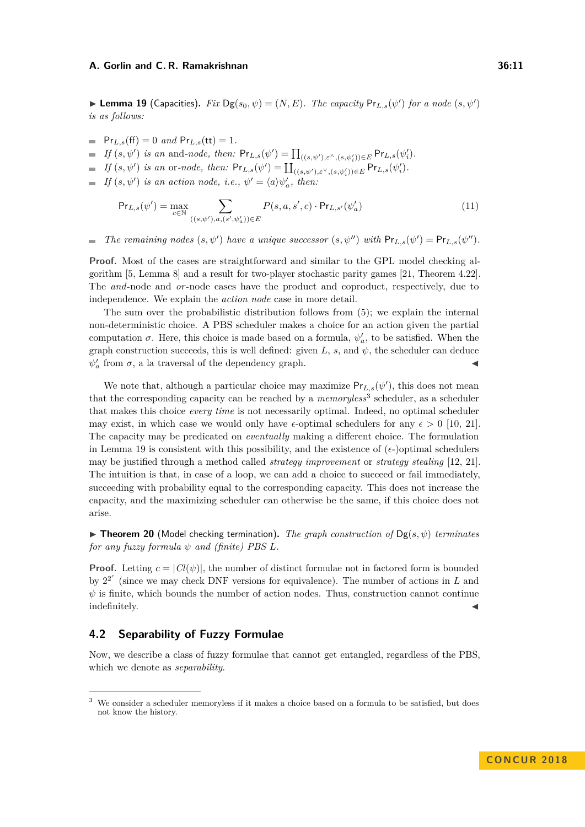<span id="page-10-1"></span>**Lemma 19** (Capacities). *Fix*  $Dg(s_0, \psi) = (N, E)$ . *The capacity*  $Pr_{L,s}(\psi')$  *for a node*  $(s, \psi')$ *is as follows:*

- $= Pr_{L,s}(ff) = 0$  *and*  $Pr_{L,s}(tt) = 1$ .
- *If*  $(s, \psi')$  *is an* and*-node, then:*  $Pr_{L,s}(\psi') = \prod_{((s,\psi'),\varepsilon^{\wedge},(s,\psi'_i)) \in E} Pr_{L,s}(\psi'_i)$ .
- *If*  $(s, \psi')$  *is an* or*-node, then:*  $Pr_{L,s}(\psi') = \coprod_{((s,\psi'),\varepsilon^{\vee},(s,\psi'_i)) \in E} Pr_{L,s}(\psi'_i)$ .
- *If*  $(s, \psi')$  *is an action node, i.e.,*  $\psi' = \langle a \rangle \psi'_a$ *, then:*

$$
\Pr_{L,s}(\psi') = \max_{c \in \mathbb{N}} \sum_{((s,\psi'),a,(s',\psi'_a)) \in E} P(s,a,s',c) \cdot \Pr_{L,s'}(\psi'_a)
$$
(11)

*The remaining nodes*  $(s, \psi')$  *have a unique successor*  $(s, \psi'')$  *with*  $Pr_{L,s}(\psi') = Pr_{L,s}(\psi'')$ *.*  $\overline{\phantom{a}}$ 

**Proof.** Most of the cases are straightforward and similar to the GPL model checking algorithm [\[5,](#page-14-0) Lemma 8] and a result for two-player stochastic parity games [\[21,](#page-15-3) Theorem 4.22]. The *and*-node and *or*-node cases have the product and coproduct, respectively, due to independence. We explain the *action node* case in more detail.

The sum over the probabilistic distribution follows from [\(5\)](#page-4-3); we explain the internal non-deterministic choice. A PBS scheduler makes a choice for an action given the partial computation  $\sigma$ . Here, this choice is made based on a formula,  $\psi'_a$ , to be satisfied. When the graph construction succeeds, this is well defined: given  $L$ ,  $s$ , and  $\psi$ , the scheduler can deduce  $\psi_a'$  from  $\sigma$ , a la traversal of the dependency graph.

We note that, although a particular choice may maximize  $Pr_{L,s}(\psi')$ , this does not mean that the corresponding capacity can be reached by a *memoryless*<sup>[3](#page-10-0)</sup> scheduler, as a scheduler that makes this choice *every time* is not necessarily optimal. Indeed, no optimal scheduler may exist, in which case we would only have  $\epsilon$ -optimal schedulers for any  $\epsilon > 0$  [\[10,](#page-14-2) [21\]](#page-15-3). The capacity may be predicated on *eventually* making a different choice. The formulation in Lemma [19](#page-10-1) is consistent with this possibility, and the existence of  $(\epsilon)$  optimal schedulers may be justified through a method called *strategy improvement* or *strategy stealing* [\[12,](#page-15-2) [21\]](#page-15-3). The intuition is that, in case of a loop, we can add a choice to succeed or fail immediately, succeeding with probability equal to the corresponding capacity. This does not increase the capacity, and the maximizing scheduler can otherwise be the same, if this choice does not arise.

**Figure 120** (Model checking termination). The graph construction of  $Dg(s, \psi)$  terminates *for any fuzzy formula*  $\psi$  *and (finite) PBS L.* 

**Proof.** Letting  $c = |Cl(\psi)|$ , the number of distinct formulae not in factored form is bounded by  $2^{2^c}$  (since we may check DNF versions for equivalence). The number of actions in *L* and  $\psi$  is finite, which bounds the number of action nodes. Thus, construction cannot continue indefinitely.

### **4.2 Separability of Fuzzy Formulae**

Now, we describe a class of fuzzy formulae that cannot get entangled, regardless of the PBS, which we denote as *separability*.

<span id="page-10-0"></span><sup>&</sup>lt;sup>3</sup> We consider a scheduler memoryless if it makes a choice based on a formula to be satisfied, but does not know the history.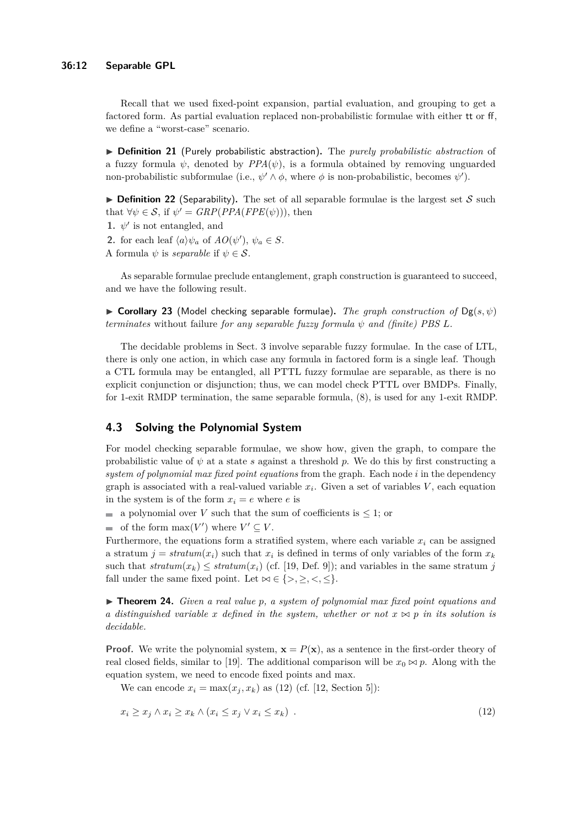Recall that we used fixed-point expansion, partial evaluation, and grouping to get a factored form. As partial evaluation replaced non-probabilistic formulae with either tt or ff, we define a "worst-case" scenario.

I **Definition 21** (Purely probabilistic abstraction)**.** The *purely probabilistic abstraction* of a fuzzy formula  $\psi$ , denoted by  $PPA(\psi)$ , is a formula obtained by removing unguarded non-probabilistic subformulae (i.e.,  $\psi' \wedge \phi$ , where  $\phi$  is non-probabilistic, becomes  $\psi'$ ).

**Definition 22** (Separability). The set of all separable formulae is the largest set  $S$  such that  $\forall \psi \in S$ , if  $\psi' = \text{GRP}(\text{PPA}(\text{FPE}(\psi)))$ , then

- **1.**  $\psi'$  is not entangled, and
- **2.** for each leaf  $\langle a \rangle \psi_a$  of  $AO(\psi')$ ,  $\psi_a \in S$ .
- A formula  $\psi$  is *separable* if  $\psi \in \mathcal{S}$ .

As separable formulae preclude entanglement, graph construction is guaranteed to succeed, and we have the following result.

**Corollary 23** (Model checking separable formulae). *The graph construction of*  $Dg(s, \psi)$ *terminates* without failure *for any separable fuzzy formula*  $\psi$  *and (finite) PBS L*.

The decidable problems in Sect. [3](#page-5-0) involve separable fuzzy formulae. In the case of LTL, there is only one action, in which case any formula in factored form is a single leaf. Though a CTL formula may be entangled, all PTTL fuzzy formulae are separable, as there is no explicit conjunction or disjunction; thus, we can model check PTTL over BMDPs. Finally, for 1-exit RMDP termination, the same separable formula, [\(8\)](#page-7-0), is used for any 1-exit RMDP.

# **4.3 Solving the Polynomial System**

For model checking separable formulae, we show how, given the graph, to compare the probabilistic value of  $\psi$  at a state *s* against a threshold *p*. We do this by first constructing a *system of polynomial max fixed point equations* from the graph. Each node *i* in the dependency graph is associated with a real-valued variable  $x_i$ . Given a set of variables  $V$ , each equation in the system is of the form  $x_i = e$  where *e* is

a polynomial over *V* such that the sum of coefficients is  $\leq 1$ ; or

of the form  $\max(V')$  where  $V' \subseteq V$ .

Furthermore, the equations form a stratified system, where each variable  $x_i$  can be assigned a stratum  $j = stratum(x_i)$  such that  $x_i$  is defined in terms of only variables of the form  $x_k$ such that  $stratum(x_k) \leq stratum(x_i)$  (cf. [\[19,](#page-15-7) Def. 9]); and variables in the same stratum *j* fall under the same fixed point. Let  $\bowtie \in \{>, \geq, \leq, \leq\}.$ 

I **Theorem 24.** *Given a real value p, a system of polynomial max fixed point equations and a distinguished variable x defined in the system, whether or not*  $x \bowtie p$  *in its solution is decidable.*

**Proof.** We write the polynomial system,  $\mathbf{x} = P(\mathbf{x})$ , as a sentence in the first-order theory of real closed fields, similar to [\[19\]](#page-15-7). The additional comparison will be  $x_0 \bowtie p$ . Along with the equation system, we need to encode fixed points and max.

<span id="page-11-0"></span>We can encode  $x_i = \max(x_i, x_k)$  as [\(12\)](#page-11-0) (cf. [\[12,](#page-15-2) Section 5]):

$$
x_i \ge x_j \land x_i \ge x_k \land (x_i \le x_j \lor x_i \le x_k) \tag{12}
$$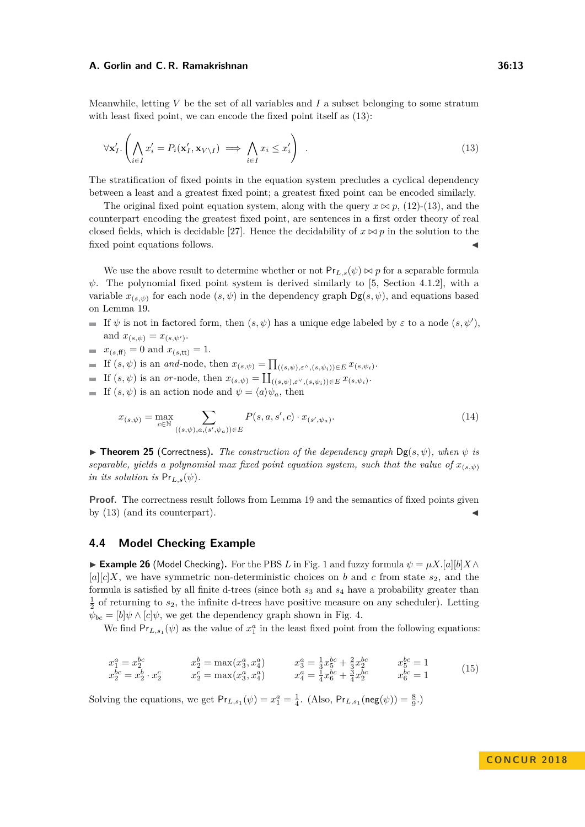Meanwhile, letting *V* be the set of all variables and *I* a subset belonging to some stratum with least fixed point, we can encode the fixed point itself as  $(13)$ :

<span id="page-12-0"></span>
$$
\forall \mathbf{x}'_I. \left( \bigwedge_{i \in I} x'_i = P_i(\mathbf{x}'_I, \mathbf{x}_{V \setminus I}) \implies \bigwedge_{i \in I} x_i \le x'_i \right) \tag{13}
$$

The stratification of fixed points in the equation system precludes a cyclical dependency between a least and a greatest fixed point; a greatest fixed point can be encoded similarly.

The original fixed point equation system, along with the query  $x \bowtie p$ , [\(12\)](#page-11-0)-[\(13\)](#page-12-0), and the counterpart encoding the greatest fixed point, are sentences in a first order theory of real closed fields, which is decidable [\[27\]](#page-15-8). Hence the decidability of  $x \bowtie p$  in the solution to the fixed point equations follows.

We use the above result to determine whether or not  $Pr_{L,s}(\psi) \bowtie p$  for a separable formula  $\psi$ . The polynomial fixed point system is derived similarly to [\[5,](#page-14-0) Section 4.1.2], with a variable  $x_{(s,\psi)}$  for each node  $(s,\psi)$  in the dependency graph  $\mathsf{Dg}(s,\psi)$ , and equations based on Lemma [19.](#page-10-1)

- If  $\psi$  is not in factored form, then  $(s, \psi)$  has a unique edge labeled by  $\varepsilon$  to a node  $(s, \psi')$ , and  $x_{(s,\psi)} = x_{(s,\psi')}$ .
- $x_{(s,\text{ff})} = 0$  and  $x_{(s,\text{tt})} = 1$ .
- If  $(s, \psi)$  is an *and*-node, then  $x_{(s,\psi)} = \prod_{((s,\psi),\varepsilon^{\wedge},(s,\psi_i)) \in E} x_{(s,\psi_i)}$ .
- If  $(s, \psi)$  is an *or*-node, then  $x_{(s,\psi)} = \coprod_{((s,\psi),\varepsilon^{\vee},(s,\psi_i)) \in E} x_{(s,\psi_i)}$ .
- If  $(s, \psi)$  is an action node and  $\psi = \langle a \rangle \psi_a$ , then

$$
x_{(s,\psi)} = \max_{c \in \mathbb{N}} \sum_{((s,\psi),a,(s',\psi_a)) \in E} P(s,a,s',c) \cdot x_{(s',\psi_a)}.
$$
 (14)

 $\triangleright$  **Theorem 25** (Correctness). *The construction of the dependency graph*  $\text{Dg}(s, \psi)$ *, when*  $\psi$  *is separable, yields a polynomial max fixed point equation system, such that the value of*  $x_{(s,\psi)}$ *in its solution is*  $Pr_{L,s}(\psi)$ *.* 

**Proof.** The correctness result follows from Lemma [19](#page-10-1) and the semantics of fixed points given by  $(13)$  (and its counterpart).

### **4.4 Model Checking Example**

**► Example 26** (Model Checking). For the PBS *L* in Fig. [1](#page-2-0) and fuzzy formula  $\psi = \mu X. [a][b]X \wedge$  $[a][c]X$ , we have symmetric non-deterministic choices on *b* and *c* from state  $s_2$ , and the formula is satisfied by all finite d-trees (since both *s*<sup>3</sup> and *s*<sup>4</sup> have a probability greater than  $\frac{1}{2}$  of returning to  $s_2$ , the infinite d-trees have positive measure on any scheduler). Letting  $\psi_{bc} = [b] \psi \wedge [c] \psi$ , we get the dependency graph shown in Fig. [4.](#page-13-1)

We find  $Pr_{L,s_1}(\psi)$  as the value of  $x_1^a$  in the least fixed point from the following equations:

$$
x_1^a = x_2^{bc} \t x_2^b = \max(x_3^a, x_4^a) \t x_3^a = \frac{1}{3}x_5^{bc} + \frac{2}{3}x_2^{bc} \t x_2^{bc} = 1 x_2^{bc} = x_2^b \cdot x_2^c = \max(x_3^a, x_4^a) \t x_4^a = \frac{1}{4}x_6^{bc} + \frac{3}{4}x_2^{bc} \t x_6^{bc} = 1
$$
 (15)

Solving the equations, we get  $Pr_{L,s_1}(\psi) = x_1^a = \frac{1}{4}$ . (Also,  $Pr_{L,s_1}(neg(\psi)) = \frac{8}{9}$ .)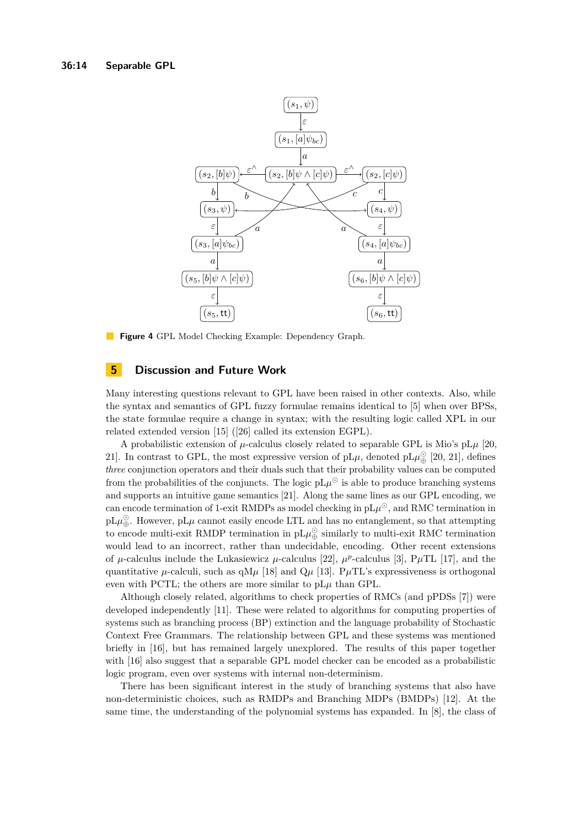<span id="page-13-1"></span>

**Figure 4** GPL Model Checking Example: Dependency Graph.

### <span id="page-13-0"></span>**5 Discussion and Future Work**

Many interesting questions relevant to GPL have been raised in other contexts. Also, while the syntax and semantics of GPL fuzzy formulae remains identical to [\[5\]](#page-14-0) when over BPSs, the state formulae require a change in syntax; with the resulting logic called XPL in our related extended version [\[15\]](#page-15-6) ([\[26\]](#page-15-1) called its extension EGPL).

A probabilistic extension of  $\mu$ -calculus closely related to separable GPL is Mio's pL $\mu$  [\[20,](#page-15-9) [21\]](#page-15-3). In contrast to GPL, the most expressive version of  $pL\mu$ , denoted  $pL\mu_{\bigoplus}^{\circ}$  [\[20,](#page-15-9) 21], defines *three* conjunction operators and their duals such that their probability values can be computed from the probabilities of the conjuncts. The logic  $pL\mu^{\odot}$  is able to produce branching systems and supports an intuitive game semantics [\[21\]](#page-15-3). Along the same lines as our GPL encoding, we can encode termination of 1-exit RMDPs as model checking in  $pL\mu^{\odot}$ , and RMC termination in  $pL\mu_{\oplus}^{\odot}$ . However,  $pL\mu$  cannot easily encode LTL and has no entanglement, so that attempting to encode multi-exit RMDP termination in  $pL\mu_{\oplus}^{\odot}$  similarly to multi-exit RMC termination would lead to an incorrect, rather than undecidable, encoding. Other recent extensions of  $\mu$ -calculus include the Lukasiewicz  $\mu$ -calculus [\[22\]](#page-15-10),  $\mu^p$ -calculus [\[3\]](#page-14-6), P $\mu$ TL [\[17\]](#page-15-11), and the quantitative  $\mu$ -calculi, such as qM $\mu$  [\[18\]](#page-15-12) and Q $\mu$  [\[13\]](#page-15-13). P $\mu$ TL's expressiveness is orthogonal even with PCTL; the others are more similar to  $pL\mu$  than GPL.

Although closely related, algorithms to check properties of RMCs (and pPDSs [\[7\]](#page-14-7)) were developed independently [\[11\]](#page-15-14). These were related to algorithms for computing properties of systems such as branching process (BP) extinction and the language probability of Stochastic Context Free Grammars. The relationship between GPL and these systems was mentioned briefly in [\[16\]](#page-15-15), but has remained largely unexplored. The results of this paper together with [\[16\]](#page-15-15) also suggest that a separable GPL model checker can be encoded as a probabilistic logic program, even over systems with internal non-determinism.

There has been significant interest in the study of branching systems that also have non-deterministic choices, such as RMDPs and Branching MDPs (BMDPs) [\[12\]](#page-15-2). At the same time, the understanding of the polynomial systems has expanded. In [\[8\]](#page-14-8), the class of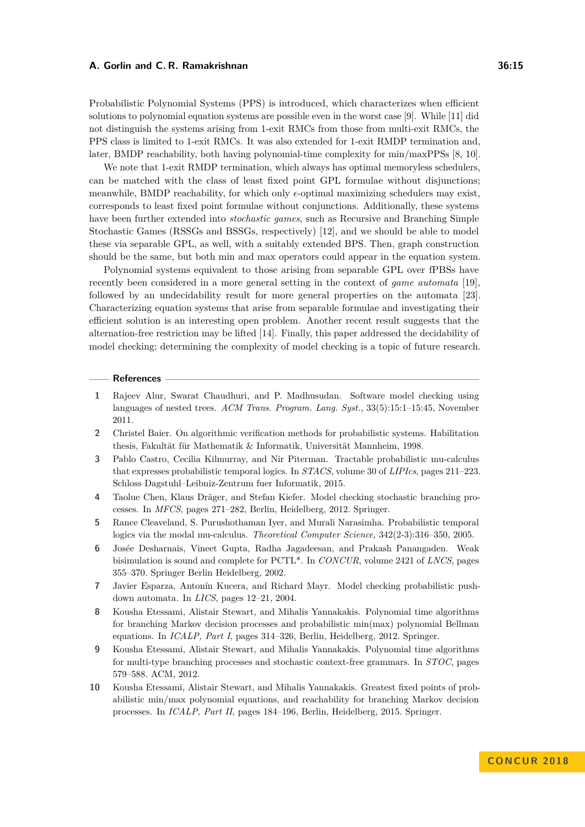Probabilistic Polynomial Systems (PPS) is introduced, which characterizes when efficient solutions to polynomial equation systems are possible even in the worst case [\[9\]](#page-14-9). While [\[11\]](#page-15-14) did not distinguish the systems arising from 1-exit RMCs from those from multi-exit RMCs, the PPS class is limited to 1-exit RMCs. It was also extended for 1-exit RMDP termination and, later, BMDP reachability, both having polynomial-time complexity for min/maxPPSs [\[8,](#page-14-8) [10\]](#page-14-2).

We note that 1-exit RMDP termination, which always has optimal memoryless schedulers, can be matched with the class of least fixed point GPL formulae without disjunctions; meanwhile, BMDP reachability, for which only  $\epsilon$ -optimal maximizing schedulers may exist. corresponds to least fixed point formulae without conjunctions. Additionally, these systems have been further extended into *stochastic games*, such as Recursive and Branching Simple Stochastic Games (RSSGs and BSSGs, respectively) [\[12\]](#page-15-2), and we should be able to model these via separable GPL, as well, with a suitably extended BPS. Then, graph construction should be the same, but both min and max operators could appear in the equation system.

Polynomial systems equivalent to those arising from separable GPL over fPBSs have recently been considered in a more general setting in the context of *game automata* [\[19\]](#page-15-7), followed by an undecidability result for more general properties on the automata [\[23\]](#page-15-16). Characterizing equation systems that arise from separable formulae and investigating their efficient solution is an interesting open problem. Another recent result suggests that the alternation-free restriction may be lifted [\[14\]](#page-15-17). Finally, this paper addressed the decidability of model checking; determining the complexity of model checking is a topic of future research.

#### **References**

- <span id="page-14-5"></span>**1** Rajeev Alur, Swarat Chaudhuri, and P. Madhusudan. Software model checking using languages of nested trees. *ACM Trans. Program. Lang. Syst.*, 33(5):15:1–15:45, November 2011.
- <span id="page-14-1"></span>**2** Christel Baier. On algorithmic verification methods for probabilistic systems. Habilitation thesis, Fakultät für Mathematik & Informatik, Universität Mannheim, 1998.
- <span id="page-14-6"></span>**3** Pablo Castro, Cecilia Kilmurray, and Nir Piterman. Tractable probabilistic mu-calculus that expresses probabilistic temporal logics. In *STACS*, volume 30 of *LIPIcs*, pages 211–223. Schloss Dagstuhl–Leibniz-Zentrum fuer Informatik, 2015.
- <span id="page-14-4"></span>**4** Taolue Chen, Klaus Dräger, and Stefan Kiefer. Model checking stochastic branching processes. In *MFCS*, pages 271–282, Berlin, Heidelberg, 2012. Springer.
- <span id="page-14-0"></span>**5** Rance Cleaveland, S. Purushothaman Iyer, and Murali Narasimha. Probabilistic temporal logics via the modal mu-calculus. *Theoretical Computer Science*, 342(2-3):316–350, 2005.
- <span id="page-14-3"></span>**6** Josée Desharnais, Vineet Gupta, Radha Jagadeesan, and Prakash Panangaden. Weak bisimulation is sound and complete for PCTL\*. In *CONCUR*, volume 2421 of *LNCS*, pages 355–370. Springer Berlin Heidelberg, 2002.
- <span id="page-14-7"></span>**7** Javier Esparza, Antonín Kucera, and Richard Mayr. Model checking probabilistic pushdown automata. In *LICS*, pages 12–21, 2004.
- <span id="page-14-8"></span>**8** Kousha Etessami, Alistair Stewart, and Mihalis Yannakakis. Polynomial time algorithms for branching Markov decision processes and probabilistic min(max) polynomial Bellman equations. In *ICALP, Part I*, pages 314–326, Berlin, Heidelberg, 2012. Springer.
- <span id="page-14-9"></span>**9** Kousha Etessami, Alistair Stewart, and Mihalis Yannakakis. Polynomial time algorithms for multi-type branching processes and stochastic context-free grammars. In *STOC*, pages 579–588. ACM, 2012.
- <span id="page-14-2"></span>**10** Kousha Etessami, Alistair Stewart, and Mihalis Yannakakis. Greatest fixed points of probabilistic min/max polynomial equations, and reachability for branching Markov decision processes. In *ICALP, Part II*, pages 184–196, Berlin, Heidelberg, 2015. Springer.